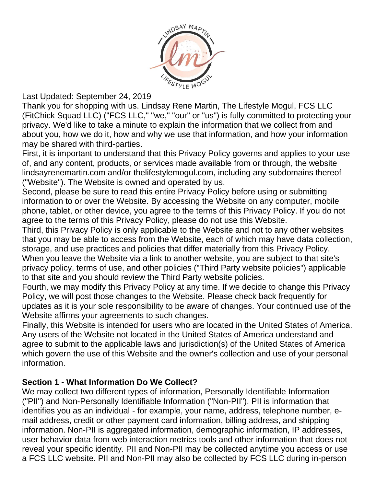

Last Updated: September 24, 2019

Thank you for shopping with us. Lindsay Rene Martin, The Lifestyle Mogul, FCS LLC (FitChick Squad LLC) ("FCS LLC," "we," "our" or "us") is fully committed to protecting your privacy. We'd like to take a minute to explain the information that we collect from and about you, how we do it, how and why we use that information, and how your information may be shared with third-parties.

First, it is important to understand that this Privacy Policy governs and applies to your use of, and any content, products, or services made available from or through, the website lindsayrenemartin.com and/or thelifestylemogul.com, including any subdomains thereof ("Website"). The Website is owned and operated by us.

Second, please be sure to read this entire Privacy Policy before using or submitting information to or over the Website. By accessing the Website on any computer, mobile phone, tablet, or other device, you agree to the terms of this Privacy Policy. If you do not agree to the terms of this Privacy Policy, please do not use this Website.

Third, this Privacy Policy is only applicable to the Website and not to any other websites that you may be able to access from the Website, each of which may have data collection, storage, and use practices and policies that differ materially from this Privacy Policy. When you leave the Website via a link to another website, you are subject to that site's privacy policy, terms of use, and other policies ("Third Party website policies") applicable to that site and you should review the Third Party website policies.

Fourth, we may modify this Privacy Policy at any time. If we decide to change this Privacy Policy, we will post those changes to the Website. Please check back frequently for updates as it is your sole responsibility to be aware of changes. Your continued use of the Website affirms your agreements to such changes.

Finally, this Website is intended for users who are located in the United States of America. Any users of the Website not located in the United States of America understand and agree to submit to the applicable laws and jurisdiction(s) of the United States of America which govern the use of this Website and the owner's collection and use of your personal information.

# **Section 1 - What Information Do We Collect?**

We may collect two different types of information, Personally Identifiable Information ("PII") and Non-Personally Identifiable Information ("Non-PII"). PII is information that identifies you as an individual - for example, your name, address, telephone number, email address, credit or other payment card information, billing address, and shipping information. Non-PII is aggregated information, demographic information, IP addresses, user behavior data from web interaction metrics tools and other information that does not reveal your specific identity. PII and Non-PII may be collected anytime you access or use a FCS LLC website. PII and Non-PII may also be collected by FCS LLC during in-person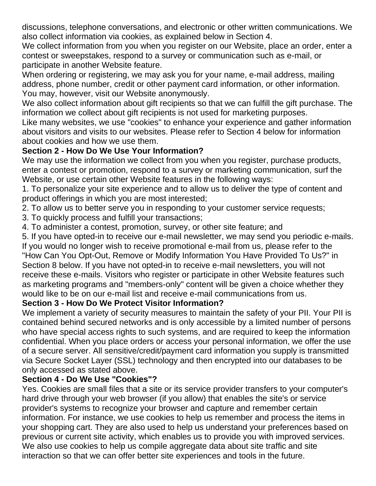discussions, telephone conversations, and electronic or other written communications. We also collect information via cookies, as explained below in Section 4.

We collect information from you when you register on our Website, place an order, enter a contest or sweepstakes, respond to a survey or communication such as e-mail, or participate in another Website feature.

When ordering or registering, we may ask you for your name, e-mail address, mailing address, phone number, credit or other payment card information, or other information. You may, however, visit our Website anonymously.

We also collect information about gift recipients so that we can fulfill the gift purchase. The information we collect about gift recipients is not used for marketing purposes.

Like many websites, we use "cookies" to enhance your experience and gather information about visitors and visits to our websites. Please refer to Section 4 below for information about cookies and how we use them.

# **Section 2 - How Do We Use Your Information?**

We may use the information we collect from you when you register, purchase products, enter a contest or promotion, respond to a survey or marketing communication, surf the Website, or use certain other Website features in the following ways:

1. To personalize your site experience and to allow us to deliver the type of content and product offerings in which you are most interested;

2. To allow us to better serve you in responding to your customer service requests;

3. To quickly process and fulfill your transactions;

4. To administer a contest, promotion, survey, or other site feature; and

5. If you have opted-in to receive our e-mail newsletter, we may send you periodic e-mails. If you would no longer wish to receive promotional e-mail from us, please refer to the "How Can You Opt-Out, Remove or Modify Information You Have Provided To Us?" in Section 8 below. If you have not opted-in to receive e-mail newsletters, you will not receive these e-mails. Visitors who register or participate in other Website features such as marketing programs and "members-only" content will be given a choice whether they would like to be on our e-mail list and receive e-mail communications from us.

# **Section 3 - How Do We Protect Visitor Information?**

We implement a variety of security measures to maintain the safety of your PII. Your PII is contained behind secured networks and is only accessible by a limited number of persons who have special access rights to such systems, and are required to keep the information confidential. When you place orders or access your personal information, we offer the use of a secure server. All sensitive/credit/payment card information you supply is transmitted via Secure Socket Layer (SSL) technology and then encrypted into our databases to be only accessed as stated above.

# **Section 4 - Do We Use "Cookies"?**

Yes. Cookies are small files that a site or its service provider transfers to your computer's hard drive through your web browser (if you allow) that enables the site's or service provider's systems to recognize your browser and capture and remember certain information. For instance, we use cookies to help us remember and process the items in your shopping cart. They are also used to help us understand your preferences based on previous or current site activity, which enables us to provide you with improved services. We also use cookies to help us compile aggregate data about site traffic and site interaction so that we can offer better site experiences and tools in the future.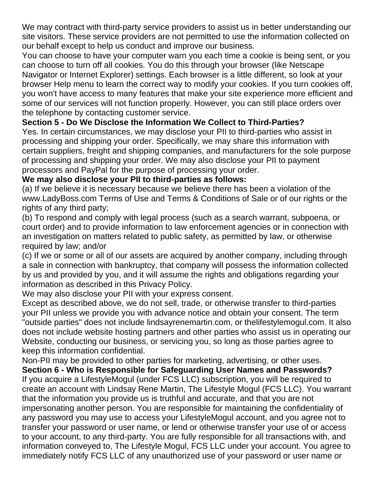We may contract with third-party service providers to assist us in better understanding our site visitors. These service providers are not permitted to use the information collected on our behalf except to help us conduct and improve our business.

You can choose to have your computer warn you each time a cookie is being sent, or you can choose to turn off all cookies. You do this through your browser (like Netscape Navigator or Internet Explorer) settings. Each browser is a little different, so look at your browser Help menu to learn the correct way to modify your cookies. If you turn cookies off, you won't have access to many features that make your site experience more efficient and some of our services will not function properly. However, you can still place orders over the telephone by contacting customer service.

# **Section 5 - Do We Disclose the Information We Collect to Third-Parties?**

Yes. In certain circumstances, we may disclose your PII to third-parties who assist in processing and shipping your order. Specifically, we may share this information with certain suppliers, freight and shipping companies, and manufacturers for the sole purpose of processing and shipping your order. We may also disclose your PII to payment processors and PayPal for the purpose of processing your order.

# **We may also disclose your PII to third-parties as follows:**

(a) If we believe it is necessary because we believe there has been a violation of the www.LadyBoss.com Terms of Use and Terms & Conditions of Sale or of our rights or the rights of any third party;

(b) To respond and comply with legal process (such as a search warrant, subpoena, or court order) and to provide information to law enforcement agencies or in connection with an investigation on matters related to public safety, as permitted by law, or otherwise required by law; and/or

(c) If we or some or all of our assets are acquired by another company, including through a sale in connection with bankruptcy, that company will possess the information collected by us and provided by you, and it will assume the rights and obligations regarding your information as described in this Privacy Policy.

We may also disclose your PII with your express consent.

Except as described above, we do not sell, trade, or otherwise transfer to third-parties your PII unless we provide you with advance notice and obtain your consent. The term "outside parties" does not include lindsayrenemartin.com, or thelifestylemogul.com. It also does not include website hosting partners and other parties who assist us in operating our Website, conducting our business, or servicing you, so long as those parties agree to keep this information confidential.

Non-PII may be provided to other parties for marketing, advertising, or other uses.

**Section 6 - Who is Responsible for Safeguarding User Names and Passwords?**  If you acquire a LifestyleMogul (under FCS LLC) subscription, you will be required to create an account with Lindsay Rene Martin, The Lifestyle Mogul (FCS LLC). You warrant that the information you provide us is truthful and accurate, and that you are not impersonating another person. You are responsible for maintaining the confidentiality of any password you may use to access your LifestyleMogul account, and you agree not to transfer your password or user name, or lend or otherwise transfer your use of or access to your account, to any third-party. You are fully responsible for all transactions with, and information conveyed to, The Lifestyle Mogul, FCS LLC under your account. You agree to immediately notify FCS LLC of any unauthorized use of your password or user name or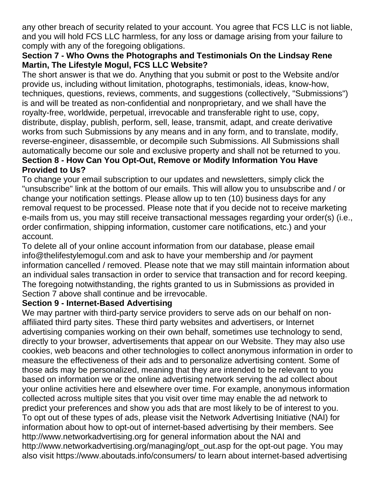any other breach of security related to your account. You agree that FCS LLC is not liable, and you will hold FCS LLC harmless, for any loss or damage arising from your failure to comply with any of the foregoing obligations.

### **Section 7 - Who Owns the Photographs and Testimonials On the Lindsay Rene Martin, The Lifestyle Mogul, FCS LLC Website?**

The short answer is that we do. Anything that you submit or post to the Website and/or provide us, including without limitation, photographs, testimonials, ideas, know-how, techniques, questions, reviews, comments, and suggestions (collectively, "Submissions") is and will be treated as non-confidential and nonproprietary, and we shall have the royalty-free, worldwide, perpetual, irrevocable and transferable right to use, copy, distribute, display, publish, perform, sell, lease, transmit, adapt, and create derivative works from such Submissions by any means and in any form, and to translate, modify, reverse-engineer, disassemble, or decompile such Submissions. All Submissions shall automatically become our sole and exclusive property and shall not be returned to you. **Section 8 - How Can You Opt-Out, Remove or Modify Information You Have Provided to Us?** 

To change your email subscription to our updates and newsletters, simply click the "unsubscribe" link at the bottom of our emails. This will allow you to unsubscribe and / or change your notification settings. Please allow up to ten (10) business days for any removal request to be processed. Please note that if you decide not to receive marketing e-mails from us, you may still receive transactional messages regarding your order(s) (i.e., order confirmation, shipping information, customer care notifications, etc.) and your account.

To delete all of your online account information from our database, please email info@thelifestylemogul.com and ask to have your membership and /or payment information cancelled / removed. Please note that we may still maintain information about an individual sales transaction in order to service that transaction and for record keeping. The foregoing notwithstanding, the rights granted to us in Submissions as provided in Section 7 above shall continue and be irrevocable.

### **Section 9 - Internet-Based Advertising**

We may partner with third-party service providers to serve ads on our behalf on nonaffiliated third party sites. These third party websites and advertisers, or Internet advertising companies working on their own behalf, sometimes use technology to send, directly to your browser, advertisements that appear on our Website. They may also use cookies, web beacons and other technologies to collect anonymous information in order to measure the effectiveness of their ads and to personalize advertising content. Some of those ads may be personalized, meaning that they are intended to be relevant to you based on information we or the online advertising network serving the ad collect about your online activities here and elsewhere over time. For example, anonymous information collected across multiple sites that you visit over time may enable the ad network to predict your preferences and show you ads that are most likely to be of interest to you. To opt out of these types of ads, please visit the Network Advertising Initiative (NAI) for information about how to opt-out of internet-based advertising by their members. See http://www.networkadvertising.org for general information about the NAI and http://www.networkadvertising.org/managing/opt\_out.asp for the opt-out page. You may also visit https://www.aboutads.info/consumers/ to learn about internet-based advertising